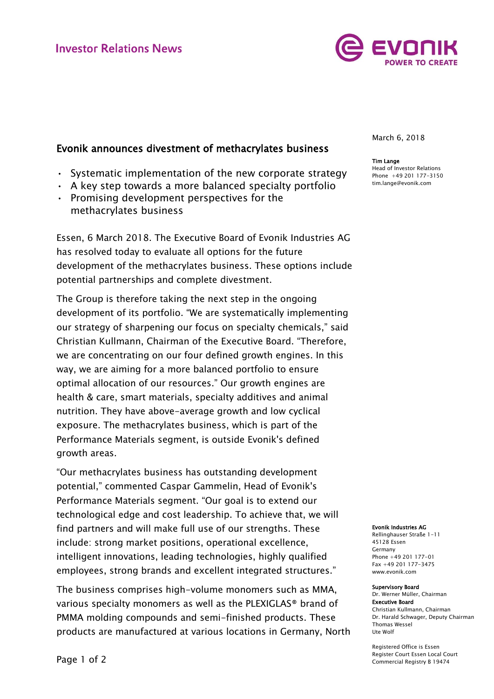

# Evonik announces divestment of methacrylates business

- Systematic implementation of the new corporate strategy
- A key step towards a more balanced specialty portfolio
- Promising development perspectives for the methacrylates business

Essen, 6 March 2018. The Executive Board of Evonik Industries AG has resolved today to evaluate all options for the future development of the methacrylates business. These options include potential partnerships and complete divestment.

The Group is therefore taking the next step in the ongoing development of its portfolio. "We are systematically implementing our strategy of sharpening our focus on specialty chemicals," said Christian Kullmann, Chairman of the Executive Board. "Therefore, we are concentrating on our four defined growth engines. In this way, we are aiming for a more balanced portfolio to ensure optimal allocation of our resources." Our growth engines are health & care, smart materials, specialty additives and animal nutrition. They have above-average growth and low cyclical exposure. The methacrylates business, which is part of the Performance Materials segment, is outside Evonik's defined growth areas.

"Our methacrylates business has outstanding development potential," commented Caspar Gammelin, Head of Evonik's Performance Materials segment. "Our goal is to extend our technological edge and cost leadership. To achieve that, we will find partners and will make full use of our strengths. These include: strong market positions, operational excellence, intelligent innovations, leading technologies, highly qualified employees, strong brands and excellent integrated structures."

The business comprises high-volume monomers such as MMA, various specialty monomers as well as the PLEXIGLAS® brand of PMMA molding compounds and semi-finished products. These products are manufactured at various locations in Germany, North March 6, 2018

### Tim Lange

Head of Investor Relations Phone +49 201 177-3150 tim.lange@evonik.com

#### Evonik Industries AG

Rellinghauser Straße 1-11 45128 Essen Germany Phone +49 201 177-01 Fax +49 201 177-3475 www.evonik.com

#### Supervisory Board Dr. Werner Müller, Chairman

Executive Board Christian Kullmann, Chairman Dr. Harald Schwager, Deputy Chairman Thomas Wessel Ute Wolf

Registered Office is Essen Register Court Essen Local Court Commercial Registry B 19474